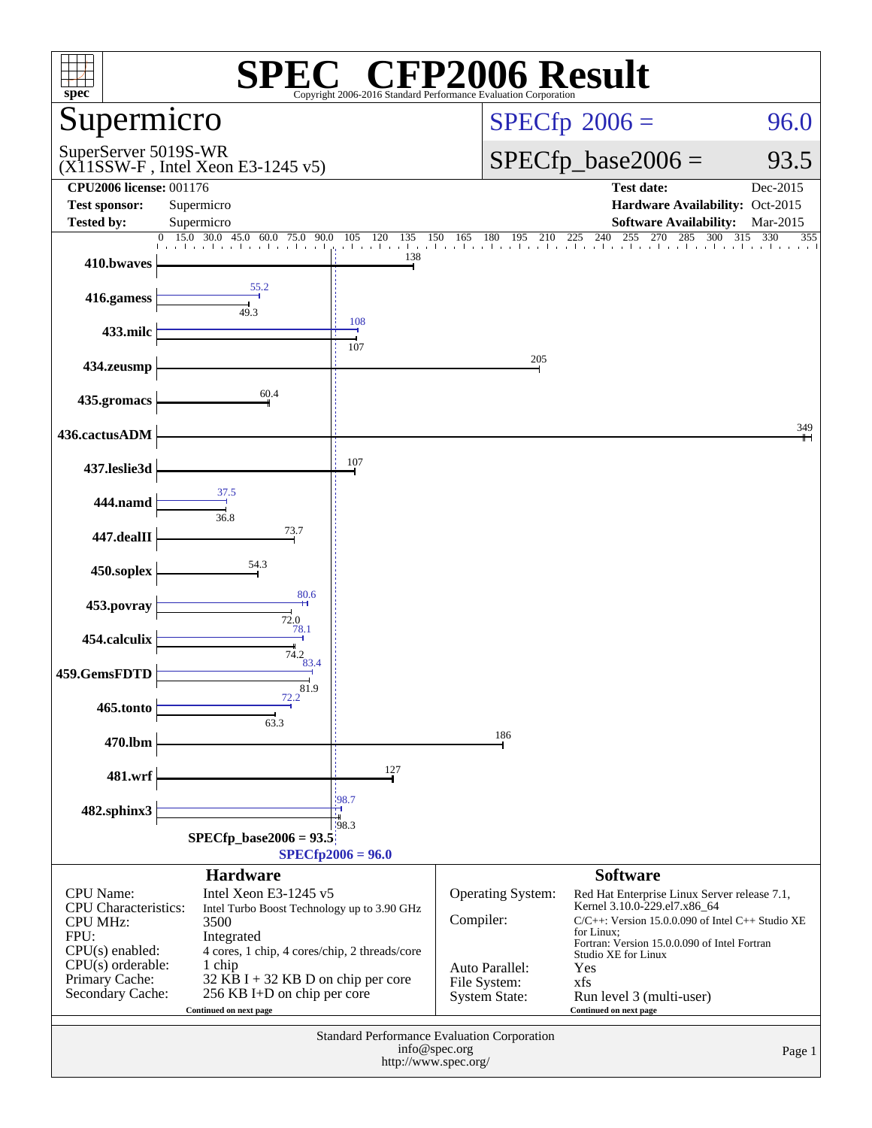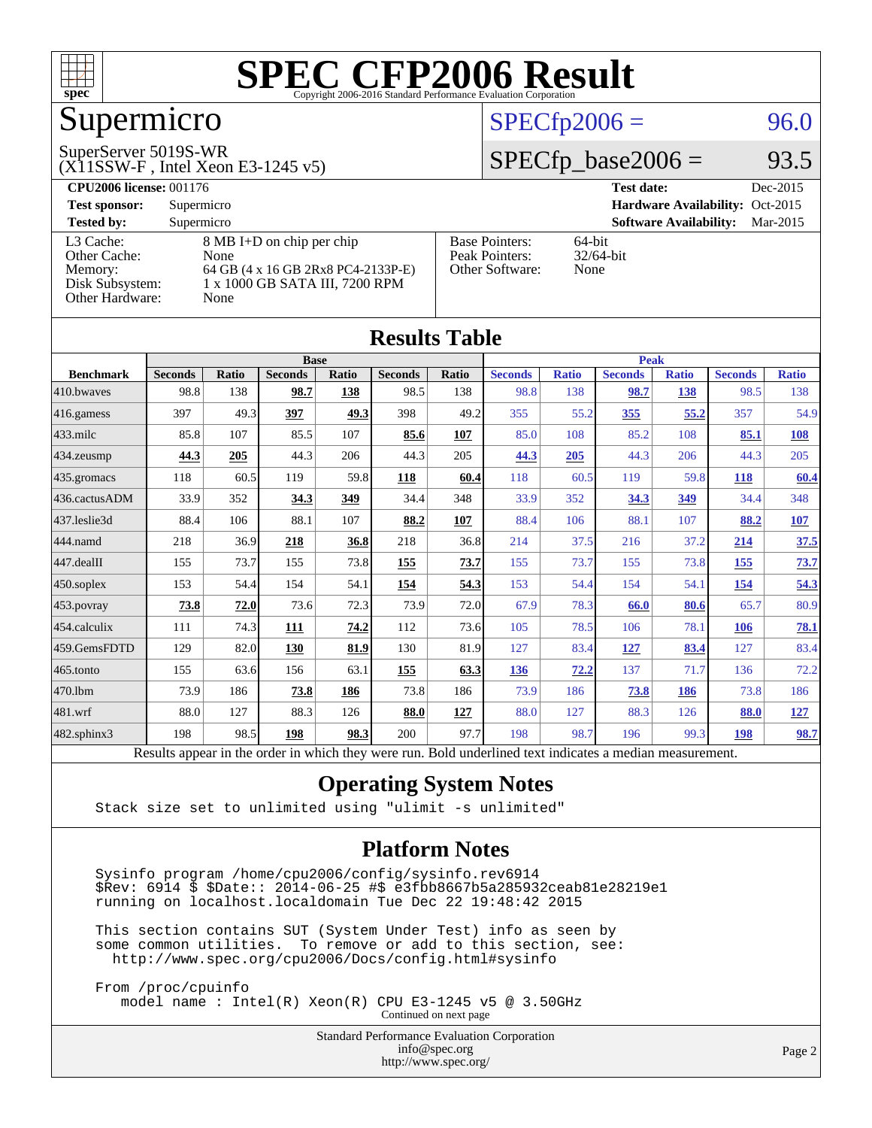

## Supermicro

#### SuperServer 5019S-WR

 $(X11SSW-F$ , Intel Xeon E3-1245 v5)

#### $SPECTp2006 = 96.0$

#### $SPECTp\_base2006 = 93.5$

**[CPU2006 license:](http://www.spec.org/auto/cpu2006/Docs/result-fields.html#CPU2006license)** 001176 **[Test date:](http://www.spec.org/auto/cpu2006/Docs/result-fields.html#Testdate)** Dec-2015 **[Test sponsor:](http://www.spec.org/auto/cpu2006/Docs/result-fields.html#Testsponsor)** Supermicro **[Hardware Availability:](http://www.spec.org/auto/cpu2006/Docs/result-fields.html#HardwareAvailability)** Oct-2015 **[Tested by:](http://www.spec.org/auto/cpu2006/Docs/result-fields.html#Testedby)** Supermicro **Supermicro [Software Availability:](http://www.spec.org/auto/cpu2006/Docs/result-fields.html#SoftwareAvailability)** Mar-2015 [L3 Cache:](http://www.spec.org/auto/cpu2006/Docs/result-fields.html#L3Cache) 8 MB I+D on chip per chip<br>Other Cache: None [Other Cache:](http://www.spec.org/auto/cpu2006/Docs/result-fields.html#OtherCache) [Memory:](http://www.spec.org/auto/cpu2006/Docs/result-fields.html#Memory) 64 GB (4 x 16 GB 2Rx8 PC4-2133P-E) [Disk Subsystem:](http://www.spec.org/auto/cpu2006/Docs/result-fields.html#DiskSubsystem) 1 x 1000 GB SATA III, 7200 RPM [Other Hardware:](http://www.spec.org/auto/cpu2006/Docs/result-fields.html#OtherHardware) None [Base Pointers:](http://www.spec.org/auto/cpu2006/Docs/result-fields.html#BasePointers) 64-bit<br>Peak Pointers: 32/64-bit [Peak Pointers:](http://www.spec.org/auto/cpu2006/Docs/result-fields.html#PeakPointers) [Other Software:](http://www.spec.org/auto/cpu2006/Docs/result-fields.html#OtherSoftware) None

**[Results Table](http://www.spec.org/auto/cpu2006/Docs/result-fields.html#ResultsTable)**

| Results Table    |                                                                                                          |              |                |       |                |       |                |              |                |              |                |              |
|------------------|----------------------------------------------------------------------------------------------------------|--------------|----------------|-------|----------------|-------|----------------|--------------|----------------|--------------|----------------|--------------|
|                  | <b>Base</b>                                                                                              |              |                |       |                |       | <b>Peak</b>    |              |                |              |                |              |
| <b>Benchmark</b> | <b>Seconds</b>                                                                                           | <b>Ratio</b> | <b>Seconds</b> | Ratio | <b>Seconds</b> | Ratio | <b>Seconds</b> | <b>Ratio</b> | <b>Seconds</b> | <b>Ratio</b> | <b>Seconds</b> | <b>Ratio</b> |
| 410.bwaves       | 98.8                                                                                                     | 138          | 98.7           | 138   | 98.5           | 138   | 98.8           | 138          | 98.7           | 138          | 98.5           | 138          |
| $416$ .gamess    | 397                                                                                                      | 49.3         | 397            | 49.3  | 398            | 49.2  | 355            | 55.2         | 355            | 55.2         | 357            | 54.9         |
| 433.milc         | 85.8                                                                                                     | 107          | 85.5           | 107   | 85.6           | 107   | 85.0           | 108          | 85.2           | 108          | 85.1           | 108          |
| 434.zeusmp       | 44.3                                                                                                     | 205          | 44.3           | 206   | 44.3           | 205   | 44.3           | 205          | 44.3           | 206          | 44.3           | 205          |
| $435$ .gromacs   | 118                                                                                                      | 60.5         | 119            | 59.8  | 118            | 60.4  | 118            | 60.5         | 119            | 59.8         | <b>118</b>     | 60.4         |
| 436.cactusADM    | 33.9                                                                                                     | 352          | 34.3           | 349   | 34.4           | 348   | 33.9           | 352          | 34.3           | 349          | 34.4           | 348          |
| 437.leslie3d     | 88.4                                                                                                     | 106          | 88.1           | 107   | 88.2           | 107   | 88.4           | 106          | 88.1           | 107          | 88.2           | <b>107</b>   |
| 444.namd         | 218                                                                                                      | 36.9         | 218            | 36.8  | 218            | 36.8  | 214            | 37.5         | 216            | 37.2         | 214            | 37.5         |
| $447$ .dealII    | 155                                                                                                      | 73.7         | 155            | 73.8  | 155            | 73.7  | 155            | 73.7         | 155            | 73.8         | <u>155</u>     | 73.7         |
| $450$ .soplex    | 153                                                                                                      | 54.4         | 154            | 54.1  | 154            | 54.3  | 153            | 54.4         | 154            | 54.1         | 154            | 54.3         |
| 453.povray       | 73.8                                                                                                     | 72.0         | 73.6           | 72.3  | 73.9           | 72.0  | 67.9           | 78.3         | 66.0           | 80.6         | 65.7           | 80.9         |
| $ 454$ .calculix | 111                                                                                                      | 74.3         | 111            | 74.2  | 112            | 73.6  | 105            | 78.5         | 106            | 78.1         | 106            | <b>78.1</b>  |
| 459.GemsFDTD     | 129                                                                                                      | 82.0         | 130            | 81.9  | 130            | 81.9  | 127            | 83.4         | <u>127</u>     | 83.4         | 127            | 83.4         |
| 465.tonto        | 155                                                                                                      | 63.6         | 156            | 63.1  | 155            | 63.3  | <u>136</u>     | 72.2         | 137            | 71.7         | 136            | 72.2         |
| 470.1bm          | 73.9                                                                                                     | 186          | 73.8           | 186   | 73.8           | 186   | 73.9           | 186          | 73.8           | 186          | 73.8           | 186          |
| 481.wrf          | 88.0                                                                                                     | 127          | 88.3           | 126   | 88.0           | 127   | 88.0           | 127          | 88.3           | 126          | 88.0           | <u>127</u>   |
| 482.sphinx3      | 198                                                                                                      | 98.5         | 198            | 98.3  | 200            | 97.7  | 198            | 98.7         | 196            | 99.3         | 198            | 98.7         |
|                  | Results appear in the order in which they were run. Bold underlined text indicates a median measurement. |              |                |       |                |       |                |              |                |              |                |              |

#### **[Operating System Notes](http://www.spec.org/auto/cpu2006/Docs/result-fields.html#OperatingSystemNotes)**

Stack size set to unlimited using "ulimit -s unlimited"

#### **[Platform Notes](http://www.spec.org/auto/cpu2006/Docs/result-fields.html#PlatformNotes)**

 Sysinfo program /home/cpu2006/config/sysinfo.rev6914 \$Rev: 6914 \$ \$Date:: 2014-06-25 #\$ e3fbb8667b5a285932ceab81e28219e1 running on localhost.localdomain Tue Dec 22 19:48:42 2015

 This section contains SUT (System Under Test) info as seen by some common utilities. To remove or add to this section, see: <http://www.spec.org/cpu2006/Docs/config.html#sysinfo>

 From /proc/cpuinfo model name : Intel(R) Xeon(R) CPU E3-1245 v5 @ 3.50GHz Continued on next page

> Standard Performance Evaluation Corporation [info@spec.org](mailto:info@spec.org) <http://www.spec.org/>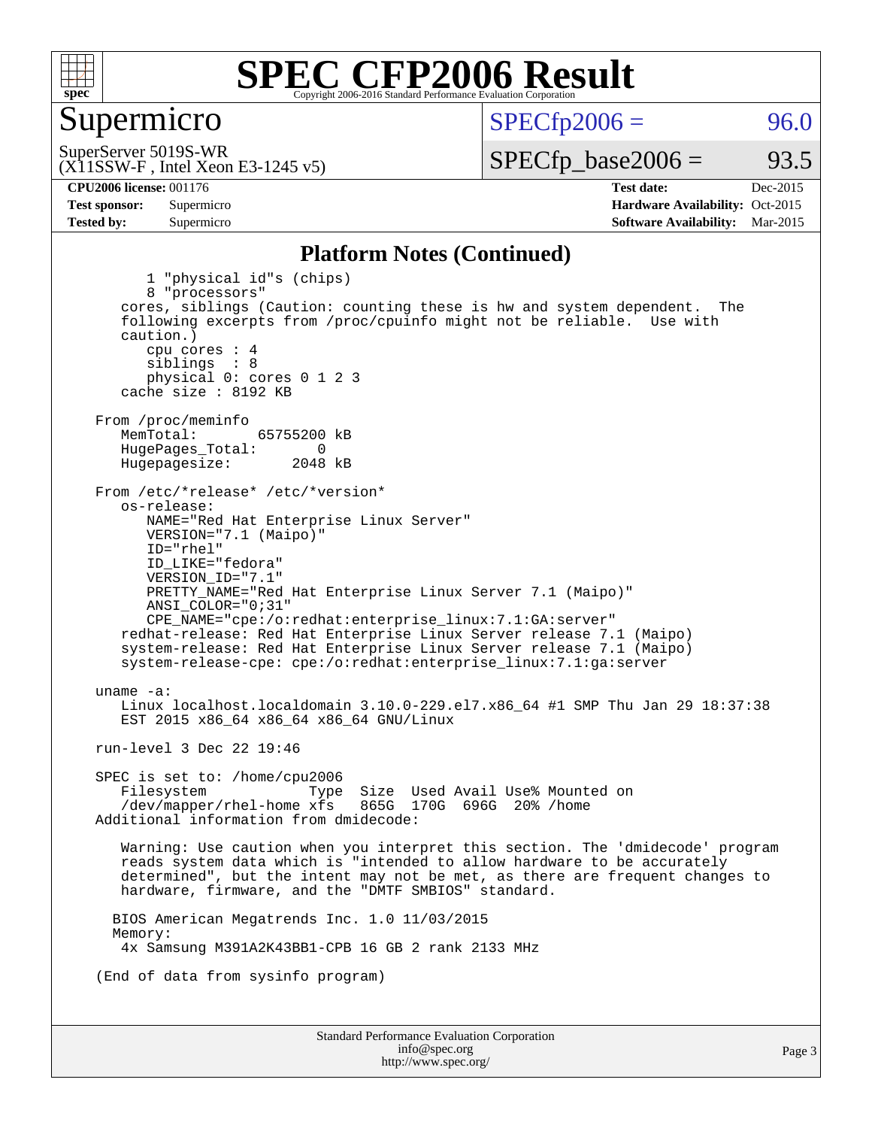

#### Supermicro

 $SPECTp2006 = 96.0$ 

(X11SSW-F , Intel Xeon E3-1245 v5) SuperServer 5019S-WR

 $SPECTp\_base2006 = 93.5$ 

**[CPU2006 license:](http://www.spec.org/auto/cpu2006/Docs/result-fields.html#CPU2006license)** 001176 **[Test date:](http://www.spec.org/auto/cpu2006/Docs/result-fields.html#Testdate)** Dec-2015 **[Test sponsor:](http://www.spec.org/auto/cpu2006/Docs/result-fields.html#Testsponsor)** Supermicro Supermicro **[Hardware Availability:](http://www.spec.org/auto/cpu2006/Docs/result-fields.html#HardwareAvailability)** Oct-2015 **[Tested by:](http://www.spec.org/auto/cpu2006/Docs/result-fields.html#Testedby)** Supermicro **Supermicro [Software Availability:](http://www.spec.org/auto/cpu2006/Docs/result-fields.html#SoftwareAvailability)** Mar-2015

#### **[Platform Notes \(Continued\)](http://www.spec.org/auto/cpu2006/Docs/result-fields.html#PlatformNotes)**

Standard Performance Evaluation Corporation [info@spec.org](mailto:info@spec.org) 1 "physical id"s (chips) 8 "processors" cores, siblings (Caution: counting these is hw and system dependent. The following excerpts from /proc/cpuinfo might not be reliable. Use with caution.) cpu cores : 4 siblings : 8 physical 0: cores 0 1 2 3 cache size : 8192 KB From /proc/meminfo<br>MemTotal: 65755200 kB HugePages\_Total: 0<br>Hugepagesize: 2048 kB Hugepagesize: From /etc/\*release\* /etc/\*version\* os-release: NAME="Red Hat Enterprise Linux Server" VERSION="7.1 (Maipo)" ID="rhel" ID\_LIKE="fedora" VERSION\_ID="7.1" PRETTY\_NAME="Red Hat Enterprise Linux Server 7.1 (Maipo)" ANSI\_COLOR="0;31" CPE\_NAME="cpe:/o:redhat:enterprise\_linux:7.1:GA:server" redhat-release: Red Hat Enterprise Linux Server release 7.1 (Maipo) system-release: Red Hat Enterprise Linux Server release 7.1 (Maipo) system-release-cpe: cpe:/o:redhat:enterprise\_linux:7.1:ga:server uname -a: Linux localhost.localdomain 3.10.0-229.el7.x86\_64 #1 SMP Thu Jan 29 18:37:38 EST 2015 x86\_64 x86\_64 x86\_64 GNU/Linux run-level 3 Dec 22 19:46 SPEC is set to: /home/cpu2006 Filesystem Type Size Used Avail Use% Mounted on<br>/dev/mapper/rhel-home xfs 865G 170G 696G 20% /home  $/$ dev/mapper/rhel-home  $x$ fs Additional information from dmidecode: Warning: Use caution when you interpret this section. The 'dmidecode' program reads system data which is "intended to allow hardware to be accurately determined", but the intent may not be met, as there are frequent changes to hardware, firmware, and the "DMTF SMBIOS" standard. BIOS American Megatrends Inc. 1.0 11/03/2015 Memory: 4x Samsung M391A2K43BB1-CPB 16 GB 2 rank 2133 MHz (End of data from sysinfo program)

<http://www.spec.org/>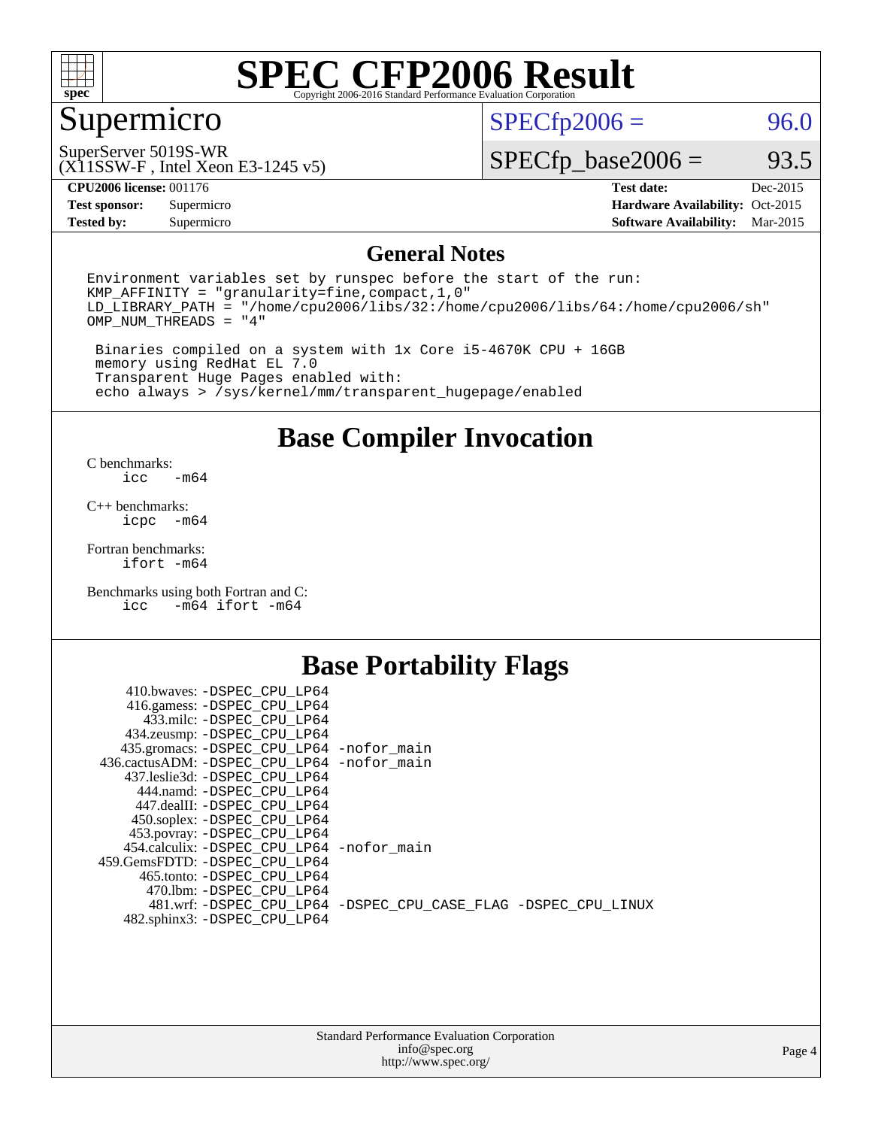

## Supermicro

 $SPECfp2006 = 96.0$  $SPECfp2006 = 96.0$ 

SuperServer 5019S-WR

(X11SSW-F , Intel Xeon E3-1245 v5)

 $SPECTp\_base2006 = 93.5$ 

**[CPU2006 license:](http://www.spec.org/auto/cpu2006/Docs/result-fields.html#CPU2006license)** 001176 **[Test date:](http://www.spec.org/auto/cpu2006/Docs/result-fields.html#Testdate)** Dec-2015

**[Tested by:](http://www.spec.org/auto/cpu2006/Docs/result-fields.html#Testedby)** Supermicro **[Software Availability:](http://www.spec.org/auto/cpu2006/Docs/result-fields.html#SoftwareAvailability)** Mar-2015

**[Test sponsor:](http://www.spec.org/auto/cpu2006/Docs/result-fields.html#Testsponsor)** Supermicro Supermicro **[Hardware Availability:](http://www.spec.org/auto/cpu2006/Docs/result-fields.html#HardwareAvailability)** Oct-2015

#### **[General Notes](http://www.spec.org/auto/cpu2006/Docs/result-fields.html#GeneralNotes)**

Environment variables set by runspec before the start of the run: KMP\_AFFINITY = "granularity=fine,compact,1,0" LD\_LIBRARY\_PATH = "/home/cpu2006/libs/32:/home/cpu2006/libs/64:/home/cpu2006/sh" OMP\_NUM\_THREADS = "4"

 Binaries compiled on a system with 1x Core i5-4670K CPU + 16GB memory using RedHat EL 7.0 Transparent Huge Pages enabled with: echo always > /sys/kernel/mm/transparent\_hugepage/enabled

**[Base Compiler Invocation](http://www.spec.org/auto/cpu2006/Docs/result-fields.html#BaseCompilerInvocation)**

[C benchmarks](http://www.spec.org/auto/cpu2006/Docs/result-fields.html#Cbenchmarks):  $-m64$ 

[C++ benchmarks:](http://www.spec.org/auto/cpu2006/Docs/result-fields.html#CXXbenchmarks) [icpc -m64](http://www.spec.org/cpu2006/results/res2016q1/cpu2006-20151225-38534.flags.html#user_CXXbase_intel_icpc_64bit_bedb90c1146cab66620883ef4f41a67e)

[Fortran benchmarks](http://www.spec.org/auto/cpu2006/Docs/result-fields.html#Fortranbenchmarks): [ifort -m64](http://www.spec.org/cpu2006/results/res2016q1/cpu2006-20151225-38534.flags.html#user_FCbase_intel_ifort_64bit_ee9d0fb25645d0210d97eb0527dcc06e)

[Benchmarks using both Fortran and C](http://www.spec.org/auto/cpu2006/Docs/result-fields.html#BenchmarksusingbothFortranandC): [icc -m64](http://www.spec.org/cpu2006/results/res2016q1/cpu2006-20151225-38534.flags.html#user_CC_FCbase_intel_icc_64bit_0b7121f5ab7cfabee23d88897260401c) [ifort -m64](http://www.spec.org/cpu2006/results/res2016q1/cpu2006-20151225-38534.flags.html#user_CC_FCbase_intel_ifort_64bit_ee9d0fb25645d0210d97eb0527dcc06e)

#### **[Base Portability Flags](http://www.spec.org/auto/cpu2006/Docs/result-fields.html#BasePortabilityFlags)**

| 410.bwaves: -DSPEC CPU LP64                 |                                                                |
|---------------------------------------------|----------------------------------------------------------------|
| 416.gamess: -DSPEC_CPU_LP64                 |                                                                |
| 433.milc: -DSPEC CPU LP64                   |                                                                |
| 434.zeusmp: -DSPEC_CPU_LP64                 |                                                                |
| 435.gromacs: -DSPEC_CPU_LP64 -nofor_main    |                                                                |
| 436.cactusADM: -DSPEC CPU LP64 -nofor main  |                                                                |
| 437.leslie3d: -DSPEC CPU LP64               |                                                                |
| 444.namd: -DSPEC CPU LP64                   |                                                                |
| 447.dealII: -DSPEC CPU LP64                 |                                                                |
| 450.soplex: -DSPEC_CPU_LP64                 |                                                                |
| 453.povray: -DSPEC CPU LP64                 |                                                                |
| 454.calculix: - DSPEC CPU LP64 - nofor main |                                                                |
| 459.GemsFDTD: -DSPEC_CPU LP64               |                                                                |
| 465.tonto: - DSPEC CPU LP64                 |                                                                |
| 470.1bm: -DSPEC CPU LP64                    |                                                                |
|                                             | 481.wrf: -DSPEC CPU_LP64 -DSPEC_CPU_CASE_FLAG -DSPEC_CPU_LINUX |
| 482.sphinx3: -DSPEC_CPU_LP64                |                                                                |
|                                             |                                                                |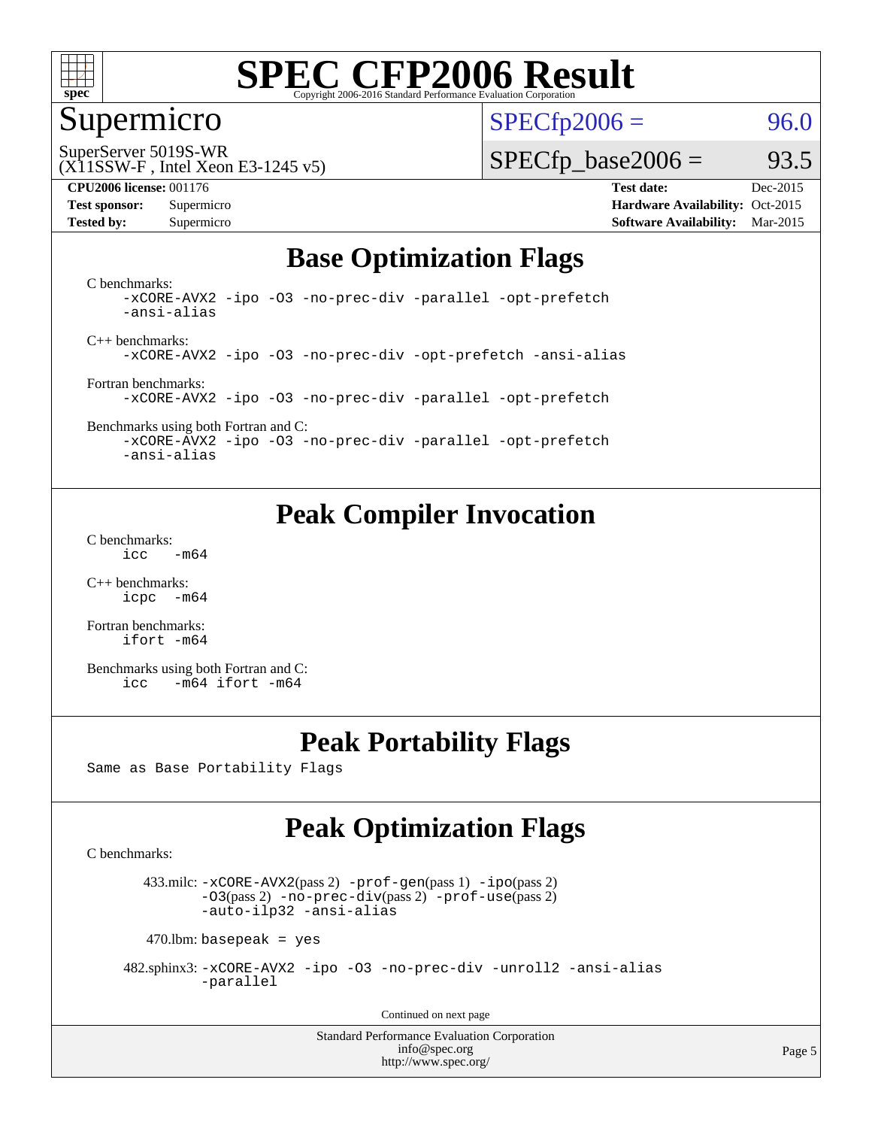

#### Supermicro

 $SPECTp2006 = 96.0$ 

SuperServer 5019S-WR

#### (X11SSW-F , Intel Xeon E3-1245 v5)

**[Tested by:](http://www.spec.org/auto/cpu2006/Docs/result-fields.html#Testedby)** Supermicro **Supermicro [Software Availability:](http://www.spec.org/auto/cpu2006/Docs/result-fields.html#SoftwareAvailability)** Mar-2015

 $SPECTp\_base2006 = 93.5$ 

**[CPU2006 license:](http://www.spec.org/auto/cpu2006/Docs/result-fields.html#CPU2006license)** 001176 **[Test date:](http://www.spec.org/auto/cpu2006/Docs/result-fields.html#Testdate)** Dec-2015 **[Test sponsor:](http://www.spec.org/auto/cpu2006/Docs/result-fields.html#Testsponsor)** Supermicro Supermicro **[Hardware Availability:](http://www.spec.org/auto/cpu2006/Docs/result-fields.html#HardwareAvailability)** Oct-2015

### **[Base Optimization Flags](http://www.spec.org/auto/cpu2006/Docs/result-fields.html#BaseOptimizationFlags)**

[C benchmarks](http://www.spec.org/auto/cpu2006/Docs/result-fields.html#Cbenchmarks): [-xCORE-AVX2](http://www.spec.org/cpu2006/results/res2016q1/cpu2006-20151225-38534.flags.html#user_CCbase_f-xAVX2_5f5fc0cbe2c9f62c816d3e45806c70d7) [-ipo](http://www.spec.org/cpu2006/results/res2016q1/cpu2006-20151225-38534.flags.html#user_CCbase_f-ipo) [-O3](http://www.spec.org/cpu2006/results/res2016q1/cpu2006-20151225-38534.flags.html#user_CCbase_f-O3) [-no-prec-div](http://www.spec.org/cpu2006/results/res2016q1/cpu2006-20151225-38534.flags.html#user_CCbase_f-no-prec-div) [-parallel](http://www.spec.org/cpu2006/results/res2016q1/cpu2006-20151225-38534.flags.html#user_CCbase_f-parallel) [-opt-prefetch](http://www.spec.org/cpu2006/results/res2016q1/cpu2006-20151225-38534.flags.html#user_CCbase_f-opt-prefetch) [-ansi-alias](http://www.spec.org/cpu2006/results/res2016q1/cpu2006-20151225-38534.flags.html#user_CCbase_f-ansi-alias)

[C++ benchmarks:](http://www.spec.org/auto/cpu2006/Docs/result-fields.html#CXXbenchmarks) [-xCORE-AVX2](http://www.spec.org/cpu2006/results/res2016q1/cpu2006-20151225-38534.flags.html#user_CXXbase_f-xAVX2_5f5fc0cbe2c9f62c816d3e45806c70d7) [-ipo](http://www.spec.org/cpu2006/results/res2016q1/cpu2006-20151225-38534.flags.html#user_CXXbase_f-ipo) [-O3](http://www.spec.org/cpu2006/results/res2016q1/cpu2006-20151225-38534.flags.html#user_CXXbase_f-O3) [-no-prec-div](http://www.spec.org/cpu2006/results/res2016q1/cpu2006-20151225-38534.flags.html#user_CXXbase_f-no-prec-div) [-opt-prefetch](http://www.spec.org/cpu2006/results/res2016q1/cpu2006-20151225-38534.flags.html#user_CXXbase_f-opt-prefetch) [-ansi-alias](http://www.spec.org/cpu2006/results/res2016q1/cpu2006-20151225-38534.flags.html#user_CXXbase_f-ansi-alias)

[Fortran benchmarks](http://www.spec.org/auto/cpu2006/Docs/result-fields.html#Fortranbenchmarks): [-xCORE-AVX2](http://www.spec.org/cpu2006/results/res2016q1/cpu2006-20151225-38534.flags.html#user_FCbase_f-xAVX2_5f5fc0cbe2c9f62c816d3e45806c70d7) [-ipo](http://www.spec.org/cpu2006/results/res2016q1/cpu2006-20151225-38534.flags.html#user_FCbase_f-ipo) [-O3](http://www.spec.org/cpu2006/results/res2016q1/cpu2006-20151225-38534.flags.html#user_FCbase_f-O3) [-no-prec-div](http://www.spec.org/cpu2006/results/res2016q1/cpu2006-20151225-38534.flags.html#user_FCbase_f-no-prec-div) [-parallel](http://www.spec.org/cpu2006/results/res2016q1/cpu2006-20151225-38534.flags.html#user_FCbase_f-parallel) [-opt-prefetch](http://www.spec.org/cpu2006/results/res2016q1/cpu2006-20151225-38534.flags.html#user_FCbase_f-opt-prefetch)

[Benchmarks using both Fortran and C](http://www.spec.org/auto/cpu2006/Docs/result-fields.html#BenchmarksusingbothFortranandC): [-xCORE-AVX2](http://www.spec.org/cpu2006/results/res2016q1/cpu2006-20151225-38534.flags.html#user_CC_FCbase_f-xAVX2_5f5fc0cbe2c9f62c816d3e45806c70d7) [-ipo](http://www.spec.org/cpu2006/results/res2016q1/cpu2006-20151225-38534.flags.html#user_CC_FCbase_f-ipo) [-O3](http://www.spec.org/cpu2006/results/res2016q1/cpu2006-20151225-38534.flags.html#user_CC_FCbase_f-O3) [-no-prec-div](http://www.spec.org/cpu2006/results/res2016q1/cpu2006-20151225-38534.flags.html#user_CC_FCbase_f-no-prec-div) [-parallel](http://www.spec.org/cpu2006/results/res2016q1/cpu2006-20151225-38534.flags.html#user_CC_FCbase_f-parallel) [-opt-prefetch](http://www.spec.org/cpu2006/results/res2016q1/cpu2006-20151225-38534.flags.html#user_CC_FCbase_f-opt-prefetch)

[-ansi-alias](http://www.spec.org/cpu2006/results/res2016q1/cpu2006-20151225-38534.flags.html#user_CC_FCbase_f-ansi-alias)

### **[Peak Compiler Invocation](http://www.spec.org/auto/cpu2006/Docs/result-fields.html#PeakCompilerInvocation)**

[C benchmarks](http://www.spec.org/auto/cpu2006/Docs/result-fields.html#Cbenchmarks):  $\text{icc}$  -m64

[C++ benchmarks:](http://www.spec.org/auto/cpu2006/Docs/result-fields.html#CXXbenchmarks) [icpc -m64](http://www.spec.org/cpu2006/results/res2016q1/cpu2006-20151225-38534.flags.html#user_CXXpeak_intel_icpc_64bit_bedb90c1146cab66620883ef4f41a67e)

[Fortran benchmarks](http://www.spec.org/auto/cpu2006/Docs/result-fields.html#Fortranbenchmarks): [ifort -m64](http://www.spec.org/cpu2006/results/res2016q1/cpu2006-20151225-38534.flags.html#user_FCpeak_intel_ifort_64bit_ee9d0fb25645d0210d97eb0527dcc06e)

[Benchmarks using both Fortran and C](http://www.spec.org/auto/cpu2006/Docs/result-fields.html#BenchmarksusingbothFortranandC): [icc -m64](http://www.spec.org/cpu2006/results/res2016q1/cpu2006-20151225-38534.flags.html#user_CC_FCpeak_intel_icc_64bit_0b7121f5ab7cfabee23d88897260401c) [ifort -m64](http://www.spec.org/cpu2006/results/res2016q1/cpu2006-20151225-38534.flags.html#user_CC_FCpeak_intel_ifort_64bit_ee9d0fb25645d0210d97eb0527dcc06e)

### **[Peak Portability Flags](http://www.spec.org/auto/cpu2006/Docs/result-fields.html#PeakPortabilityFlags)**

Same as Base Portability Flags

### **[Peak Optimization Flags](http://www.spec.org/auto/cpu2006/Docs/result-fields.html#PeakOptimizationFlags)**

[C benchmarks](http://www.spec.org/auto/cpu2006/Docs/result-fields.html#Cbenchmarks):

 433.milc: [-xCORE-AVX2](http://www.spec.org/cpu2006/results/res2016q1/cpu2006-20151225-38534.flags.html#user_peakPASS2_CFLAGSPASS2_LDFLAGS433_milc_f-xAVX2_5f5fc0cbe2c9f62c816d3e45806c70d7)(pass 2) [-prof-gen](http://www.spec.org/cpu2006/results/res2016q1/cpu2006-20151225-38534.flags.html#user_peakPASS1_CFLAGSPASS1_LDFLAGS433_milc_prof_gen_e43856698f6ca7b7e442dfd80e94a8fc)(pass 1) [-ipo](http://www.spec.org/cpu2006/results/res2016q1/cpu2006-20151225-38534.flags.html#user_peakPASS2_CFLAGSPASS2_LDFLAGS433_milc_f-ipo)(pass 2) [-O3](http://www.spec.org/cpu2006/results/res2016q1/cpu2006-20151225-38534.flags.html#user_peakPASS2_CFLAGSPASS2_LDFLAGS433_milc_f-O3)(pass 2) [-no-prec-div](http://www.spec.org/cpu2006/results/res2016q1/cpu2006-20151225-38534.flags.html#user_peakPASS2_CFLAGSPASS2_LDFLAGS433_milc_f-no-prec-div)(pass 2) [-prof-use](http://www.spec.org/cpu2006/results/res2016q1/cpu2006-20151225-38534.flags.html#user_peakPASS2_CFLAGSPASS2_LDFLAGS433_milc_prof_use_bccf7792157ff70d64e32fe3e1250b55)(pass 2) [-auto-ilp32](http://www.spec.org/cpu2006/results/res2016q1/cpu2006-20151225-38534.flags.html#user_peakCOPTIMIZE433_milc_f-auto-ilp32) [-ansi-alias](http://www.spec.org/cpu2006/results/res2016q1/cpu2006-20151225-38534.flags.html#user_peakCOPTIMIZE433_milc_f-ansi-alias)

 $470$ .lbm: basepeak = yes

 482.sphinx3: [-xCORE-AVX2](http://www.spec.org/cpu2006/results/res2016q1/cpu2006-20151225-38534.flags.html#user_peakOPTIMIZE482_sphinx3_f-xAVX2_5f5fc0cbe2c9f62c816d3e45806c70d7) [-ipo](http://www.spec.org/cpu2006/results/res2016q1/cpu2006-20151225-38534.flags.html#user_peakOPTIMIZE482_sphinx3_f-ipo) [-O3](http://www.spec.org/cpu2006/results/res2016q1/cpu2006-20151225-38534.flags.html#user_peakOPTIMIZE482_sphinx3_f-O3) [-no-prec-div](http://www.spec.org/cpu2006/results/res2016q1/cpu2006-20151225-38534.flags.html#user_peakOPTIMIZE482_sphinx3_f-no-prec-div) [-unroll2](http://www.spec.org/cpu2006/results/res2016q1/cpu2006-20151225-38534.flags.html#user_peakCOPTIMIZE482_sphinx3_f-unroll_784dae83bebfb236979b41d2422d7ec2) [-ansi-alias](http://www.spec.org/cpu2006/results/res2016q1/cpu2006-20151225-38534.flags.html#user_peakCOPTIMIZE482_sphinx3_f-ansi-alias) [-parallel](http://www.spec.org/cpu2006/results/res2016q1/cpu2006-20151225-38534.flags.html#user_peakCOPTIMIZE482_sphinx3_f-parallel)

Continued on next page

Standard Performance Evaluation Corporation [info@spec.org](mailto:info@spec.org) <http://www.spec.org/>

Page 5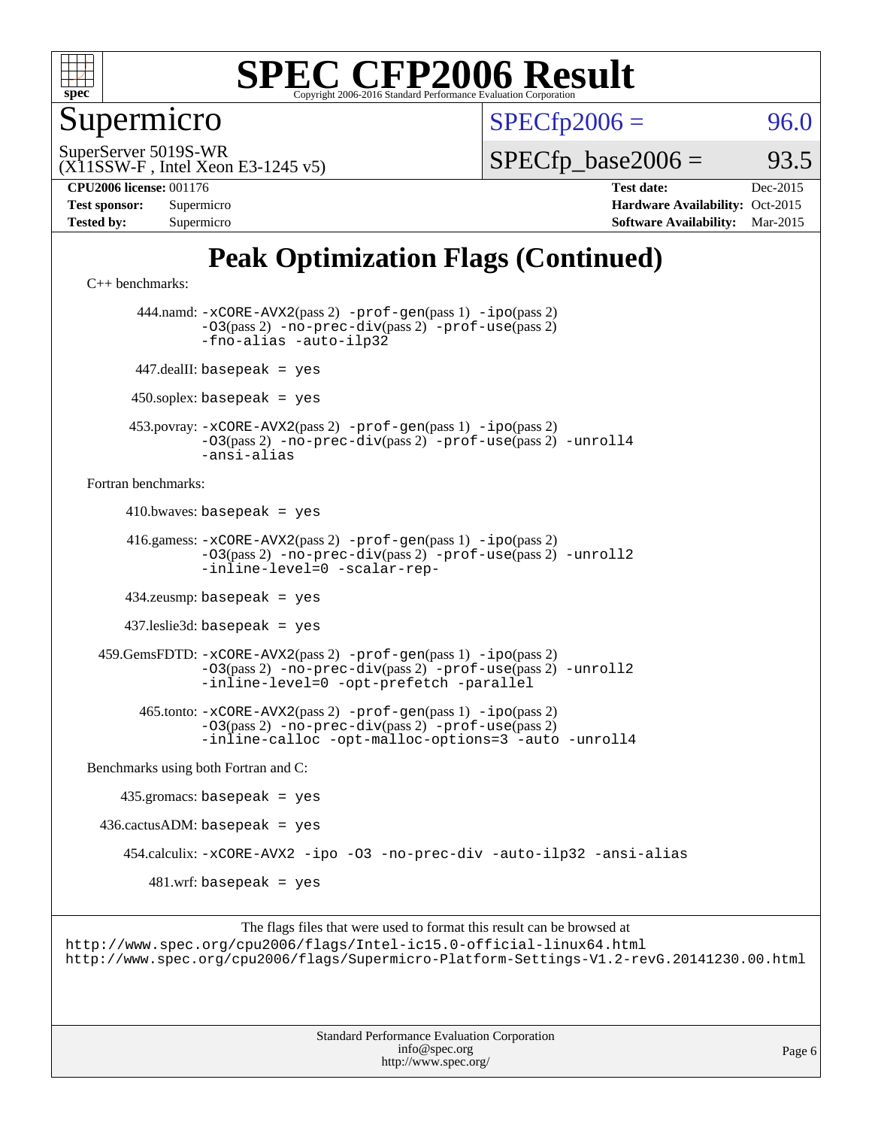

Supermicro

 $SPECTp2006 = 96.0$ 

(X11SSW-F , Intel Xeon E3-1245 v5) SuperServer 5019S-WR

 $SPECTp\_base2006 = 93.5$ 

**[CPU2006 license:](http://www.spec.org/auto/cpu2006/Docs/result-fields.html#CPU2006license)** 001176 **[Test date:](http://www.spec.org/auto/cpu2006/Docs/result-fields.html#Testdate)** Dec-2015 **[Test sponsor:](http://www.spec.org/auto/cpu2006/Docs/result-fields.html#Testsponsor)** Supermicro **[Hardware Availability:](http://www.spec.org/auto/cpu2006/Docs/result-fields.html#HardwareAvailability)** Oct-2015 **[Tested by:](http://www.spec.org/auto/cpu2006/Docs/result-fields.html#Testedby)** Supermicro **[Software Availability:](http://www.spec.org/auto/cpu2006/Docs/result-fields.html#SoftwareAvailability)** Mar-2015

### **[Peak Optimization Flags \(Continued\)](http://www.spec.org/auto/cpu2006/Docs/result-fields.html#PeakOptimizationFlags)**

[C++ benchmarks:](http://www.spec.org/auto/cpu2006/Docs/result-fields.html#CXXbenchmarks)

 444.namd: [-xCORE-AVX2](http://www.spec.org/cpu2006/results/res2016q1/cpu2006-20151225-38534.flags.html#user_peakPASS2_CXXFLAGSPASS2_LDFLAGS444_namd_f-xAVX2_5f5fc0cbe2c9f62c816d3e45806c70d7)(pass 2) [-prof-gen](http://www.spec.org/cpu2006/results/res2016q1/cpu2006-20151225-38534.flags.html#user_peakPASS1_CXXFLAGSPASS1_LDFLAGS444_namd_prof_gen_e43856698f6ca7b7e442dfd80e94a8fc)(pass 1) [-ipo](http://www.spec.org/cpu2006/results/res2016q1/cpu2006-20151225-38534.flags.html#user_peakPASS2_CXXFLAGSPASS2_LDFLAGS444_namd_f-ipo)(pass 2) [-O3](http://www.spec.org/cpu2006/results/res2016q1/cpu2006-20151225-38534.flags.html#user_peakPASS2_CXXFLAGSPASS2_LDFLAGS444_namd_f-O3)(pass 2) [-no-prec-div](http://www.spec.org/cpu2006/results/res2016q1/cpu2006-20151225-38534.flags.html#user_peakPASS2_CXXFLAGSPASS2_LDFLAGS444_namd_f-no-prec-div)(pass 2) [-prof-use](http://www.spec.org/cpu2006/results/res2016q1/cpu2006-20151225-38534.flags.html#user_peakPASS2_CXXFLAGSPASS2_LDFLAGS444_namd_prof_use_bccf7792157ff70d64e32fe3e1250b55)(pass 2) [-fno-alias](http://www.spec.org/cpu2006/results/res2016q1/cpu2006-20151225-38534.flags.html#user_peakCXXOPTIMIZEOPTIMIZE444_namd_f-no-alias_694e77f6c5a51e658e82ccff53a9e63a) [-auto-ilp32](http://www.spec.org/cpu2006/results/res2016q1/cpu2006-20151225-38534.flags.html#user_peakCXXOPTIMIZE444_namd_f-auto-ilp32) 447.dealII: basepeak = yes  $450$ .soplex: basepeak = yes 453.povray: [-xCORE-AVX2](http://www.spec.org/cpu2006/results/res2016q1/cpu2006-20151225-38534.flags.html#user_peakPASS2_CXXFLAGSPASS2_LDFLAGS453_povray_f-xAVX2_5f5fc0cbe2c9f62c816d3e45806c70d7)(pass 2) [-prof-gen](http://www.spec.org/cpu2006/results/res2016q1/cpu2006-20151225-38534.flags.html#user_peakPASS1_CXXFLAGSPASS1_LDFLAGS453_povray_prof_gen_e43856698f6ca7b7e442dfd80e94a8fc)(pass 1) [-ipo](http://www.spec.org/cpu2006/results/res2016q1/cpu2006-20151225-38534.flags.html#user_peakPASS2_CXXFLAGSPASS2_LDFLAGS453_povray_f-ipo)(pass 2) [-O3](http://www.spec.org/cpu2006/results/res2016q1/cpu2006-20151225-38534.flags.html#user_peakPASS2_CXXFLAGSPASS2_LDFLAGS453_povray_f-O3)(pass 2) [-no-prec-div](http://www.spec.org/cpu2006/results/res2016q1/cpu2006-20151225-38534.flags.html#user_peakPASS2_CXXFLAGSPASS2_LDFLAGS453_povray_f-no-prec-div)(pass 2) [-prof-use](http://www.spec.org/cpu2006/results/res2016q1/cpu2006-20151225-38534.flags.html#user_peakPASS2_CXXFLAGSPASS2_LDFLAGS453_povray_prof_use_bccf7792157ff70d64e32fe3e1250b55)(pass 2) [-unroll4](http://www.spec.org/cpu2006/results/res2016q1/cpu2006-20151225-38534.flags.html#user_peakCXXOPTIMIZE453_povray_f-unroll_4e5e4ed65b7fd20bdcd365bec371b81f) [-ansi-alias](http://www.spec.org/cpu2006/results/res2016q1/cpu2006-20151225-38534.flags.html#user_peakCXXOPTIMIZE453_povray_f-ansi-alias) [Fortran benchmarks](http://www.spec.org/auto/cpu2006/Docs/result-fields.html#Fortranbenchmarks):  $410.bwaves: basepeak = yes$  416.gamess: [-xCORE-AVX2](http://www.spec.org/cpu2006/results/res2016q1/cpu2006-20151225-38534.flags.html#user_peakPASS2_FFLAGSPASS2_LDFLAGS416_gamess_f-xAVX2_5f5fc0cbe2c9f62c816d3e45806c70d7)(pass 2) [-prof-gen](http://www.spec.org/cpu2006/results/res2016q1/cpu2006-20151225-38534.flags.html#user_peakPASS1_FFLAGSPASS1_LDFLAGS416_gamess_prof_gen_e43856698f6ca7b7e442dfd80e94a8fc)(pass 1) [-ipo](http://www.spec.org/cpu2006/results/res2016q1/cpu2006-20151225-38534.flags.html#user_peakPASS2_FFLAGSPASS2_LDFLAGS416_gamess_f-ipo)(pass 2) [-O3](http://www.spec.org/cpu2006/results/res2016q1/cpu2006-20151225-38534.flags.html#user_peakPASS2_FFLAGSPASS2_LDFLAGS416_gamess_f-O3)(pass 2) [-no-prec-div](http://www.spec.org/cpu2006/results/res2016q1/cpu2006-20151225-38534.flags.html#user_peakPASS2_FFLAGSPASS2_LDFLAGS416_gamess_f-no-prec-div)(pass 2) [-prof-use](http://www.spec.org/cpu2006/results/res2016q1/cpu2006-20151225-38534.flags.html#user_peakPASS2_FFLAGSPASS2_LDFLAGS416_gamess_prof_use_bccf7792157ff70d64e32fe3e1250b55)(pass 2) [-unroll2](http://www.spec.org/cpu2006/results/res2016q1/cpu2006-20151225-38534.flags.html#user_peakOPTIMIZE416_gamess_f-unroll_784dae83bebfb236979b41d2422d7ec2) [-inline-level=0](http://www.spec.org/cpu2006/results/res2016q1/cpu2006-20151225-38534.flags.html#user_peakOPTIMIZE416_gamess_f-inline-level_318d07a09274ad25e8d15dbfaa68ba50) [-scalar-rep-](http://www.spec.org/cpu2006/results/res2016q1/cpu2006-20151225-38534.flags.html#user_peakOPTIMIZE416_gamess_f-disablescalarrep_abbcad04450fb118e4809c81d83c8a1d) 434.zeusmp: basepeak = yes 437.leslie3d: basepeak = yes 459.GemsFDTD: [-xCORE-AVX2](http://www.spec.org/cpu2006/results/res2016q1/cpu2006-20151225-38534.flags.html#user_peakPASS2_FFLAGSPASS2_LDFLAGS459_GemsFDTD_f-xAVX2_5f5fc0cbe2c9f62c816d3e45806c70d7)(pass 2) [-prof-gen](http://www.spec.org/cpu2006/results/res2016q1/cpu2006-20151225-38534.flags.html#user_peakPASS1_FFLAGSPASS1_LDFLAGS459_GemsFDTD_prof_gen_e43856698f6ca7b7e442dfd80e94a8fc)(pass 1) [-ipo](http://www.spec.org/cpu2006/results/res2016q1/cpu2006-20151225-38534.flags.html#user_peakPASS2_FFLAGSPASS2_LDFLAGS459_GemsFDTD_f-ipo)(pass 2) [-O3](http://www.spec.org/cpu2006/results/res2016q1/cpu2006-20151225-38534.flags.html#user_peakPASS2_FFLAGSPASS2_LDFLAGS459_GemsFDTD_f-O3)(pass 2) [-no-prec-div](http://www.spec.org/cpu2006/results/res2016q1/cpu2006-20151225-38534.flags.html#user_peakPASS2_FFLAGSPASS2_LDFLAGS459_GemsFDTD_f-no-prec-div)(pass 2) [-prof-use](http://www.spec.org/cpu2006/results/res2016q1/cpu2006-20151225-38534.flags.html#user_peakPASS2_FFLAGSPASS2_LDFLAGS459_GemsFDTD_prof_use_bccf7792157ff70d64e32fe3e1250b55)(pass 2) [-unroll2](http://www.spec.org/cpu2006/results/res2016q1/cpu2006-20151225-38534.flags.html#user_peakOPTIMIZE459_GemsFDTD_f-unroll_784dae83bebfb236979b41d2422d7ec2) [-inline-level=0](http://www.spec.org/cpu2006/results/res2016q1/cpu2006-20151225-38534.flags.html#user_peakOPTIMIZE459_GemsFDTD_f-inline-level_318d07a09274ad25e8d15dbfaa68ba50) [-opt-prefetch](http://www.spec.org/cpu2006/results/res2016q1/cpu2006-20151225-38534.flags.html#user_peakOPTIMIZE459_GemsFDTD_f-opt-prefetch) [-parallel](http://www.spec.org/cpu2006/results/res2016q1/cpu2006-20151225-38534.flags.html#user_peakOPTIMIZE459_GemsFDTD_f-parallel) 465.tonto: [-xCORE-AVX2](http://www.spec.org/cpu2006/results/res2016q1/cpu2006-20151225-38534.flags.html#user_peakPASS2_FFLAGSPASS2_LDFLAGS465_tonto_f-xAVX2_5f5fc0cbe2c9f62c816d3e45806c70d7)(pass 2) [-prof-gen](http://www.spec.org/cpu2006/results/res2016q1/cpu2006-20151225-38534.flags.html#user_peakPASS1_FFLAGSPASS1_LDFLAGS465_tonto_prof_gen_e43856698f6ca7b7e442dfd80e94a8fc)(pass 1) [-ipo](http://www.spec.org/cpu2006/results/res2016q1/cpu2006-20151225-38534.flags.html#user_peakPASS2_FFLAGSPASS2_LDFLAGS465_tonto_f-ipo)(pass 2) [-O3](http://www.spec.org/cpu2006/results/res2016q1/cpu2006-20151225-38534.flags.html#user_peakPASS2_FFLAGSPASS2_LDFLAGS465_tonto_f-O3)(pass 2) [-no-prec-div](http://www.spec.org/cpu2006/results/res2016q1/cpu2006-20151225-38534.flags.html#user_peakPASS2_FFLAGSPASS2_LDFLAGS465_tonto_f-no-prec-div)(pass 2) [-prof-use](http://www.spec.org/cpu2006/results/res2016q1/cpu2006-20151225-38534.flags.html#user_peakPASS2_FFLAGSPASS2_LDFLAGS465_tonto_prof_use_bccf7792157ff70d64e32fe3e1250b55)(pass 2) [-inline-calloc](http://www.spec.org/cpu2006/results/res2016q1/cpu2006-20151225-38534.flags.html#user_peakOPTIMIZE465_tonto_f-inline-calloc) [-opt-malloc-options=3](http://www.spec.org/cpu2006/results/res2016q1/cpu2006-20151225-38534.flags.html#user_peakOPTIMIZE465_tonto_f-opt-malloc-options_13ab9b803cf986b4ee62f0a5998c2238) [-auto](http://www.spec.org/cpu2006/results/res2016q1/cpu2006-20151225-38534.flags.html#user_peakOPTIMIZE465_tonto_f-auto) [-unroll4](http://www.spec.org/cpu2006/results/res2016q1/cpu2006-20151225-38534.flags.html#user_peakOPTIMIZE465_tonto_f-unroll_4e5e4ed65b7fd20bdcd365bec371b81f) [Benchmarks using both Fortran and C](http://www.spec.org/auto/cpu2006/Docs/result-fields.html#BenchmarksusingbothFortranandC):  $435.\text{gromacs: basepeak}$  = yes  $436.cactusADM:basepeak = yes$  454.calculix: [-xCORE-AVX2](http://www.spec.org/cpu2006/results/res2016q1/cpu2006-20151225-38534.flags.html#user_peakOPTIMIZE454_calculix_f-xAVX2_5f5fc0cbe2c9f62c816d3e45806c70d7) [-ipo](http://www.spec.org/cpu2006/results/res2016q1/cpu2006-20151225-38534.flags.html#user_peakOPTIMIZE454_calculix_f-ipo) [-O3](http://www.spec.org/cpu2006/results/res2016q1/cpu2006-20151225-38534.flags.html#user_peakOPTIMIZE454_calculix_f-O3) [-no-prec-div](http://www.spec.org/cpu2006/results/res2016q1/cpu2006-20151225-38534.flags.html#user_peakOPTIMIZE454_calculix_f-no-prec-div) [-auto-ilp32](http://www.spec.org/cpu2006/results/res2016q1/cpu2006-20151225-38534.flags.html#user_peakCOPTIMIZE454_calculix_f-auto-ilp32) [-ansi-alias](http://www.spec.org/cpu2006/results/res2016q1/cpu2006-20151225-38534.flags.html#user_peakCOPTIMIZE454_calculix_f-ansi-alias)  $481.$ wrf: basepeak = yes

The flags files that were used to format this result can be browsed at <http://www.spec.org/cpu2006/flags/Intel-ic15.0-official-linux64.html> <http://www.spec.org/cpu2006/flags/Supermicro-Platform-Settings-V1.2-revG.20141230.00.html>

> Standard Performance Evaluation Corporation [info@spec.org](mailto:info@spec.org) <http://www.spec.org/>